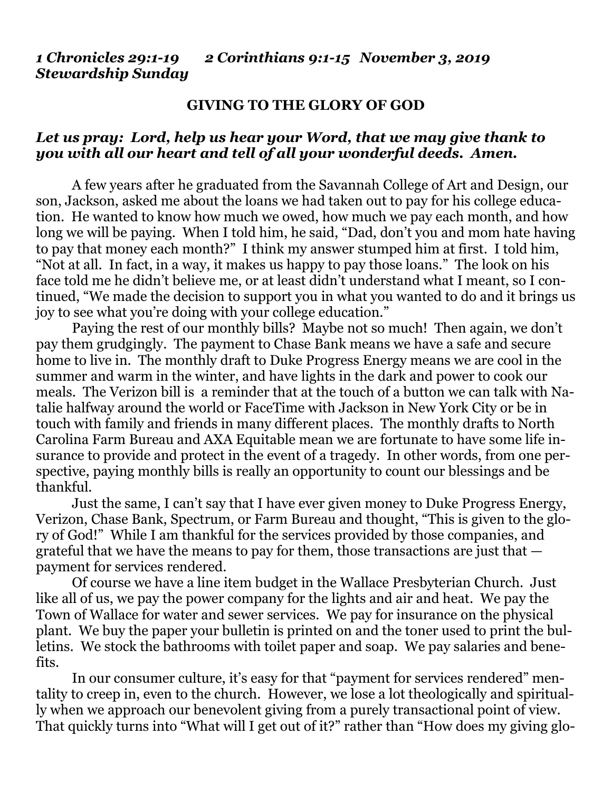## *1 Chronicles 29:1-19 2 Corinthians 9:1-15 November 3, 2019 Stewardship Sunday*

## **GIVING TO THE GLORY OF GOD**

## *Let us pray: Lord, help us hear your Word, that we may give thank to you with all our heart and tell of all your wonderful deeds. Amen.*

A few years after he graduated from the Savannah College of Art and Design, our son, Jackson, asked me about the loans we had taken out to pay for his college education. He wanted to know how much we owed, how much we pay each month, and how long we will be paying. When I told him, he said, "Dad, don't you and mom hate having to pay that money each month?" I think my answer stumped him at first. I told him, "Not at all. In fact, in a way, it makes us happy to pay those loans." The look on his face told me he didn't believe me, or at least didn't understand what I meant, so I continued, "We made the decision to support you in what you wanted to do and it brings us joy to see what you're doing with your college education."

Paying the rest of our monthly bills? Maybe not so much! Then again, we don't pay them grudgingly. The payment to Chase Bank means we have a safe and secure home to live in. The monthly draft to Duke Progress Energy means we are cool in the summer and warm in the winter, and have lights in the dark and power to cook our meals. The Verizon bill is a reminder that at the touch of a button we can talk with Natalie halfway around the world or FaceTime with Jackson in New York City or be in touch with family and friends in many different places. The monthly drafts to North Carolina Farm Bureau and AXA Equitable mean we are fortunate to have some life insurance to provide and protect in the event of a tragedy. In other words, from one perspective, paying monthly bills is really an opportunity to count our blessings and be thankful.

Just the same, I can't say that I have ever given money to Duke Progress Energy, Verizon, Chase Bank, Spectrum, or Farm Bureau and thought, "This is given to the glory of God!" While I am thankful for the services provided by those companies, and grateful that we have the means to pay for them, those transactions are just that payment for services rendered.

Of course we have a line item budget in the Wallace Presbyterian Church. Just like all of us, we pay the power company for the lights and air and heat. We pay the Town of Wallace for water and sewer services. We pay for insurance on the physical plant. We buy the paper your bulletin is printed on and the toner used to print the bulletins. We stock the bathrooms with toilet paper and soap. We pay salaries and benefits.

In our consumer culture, it's easy for that "payment for services rendered" mentality to creep in, even to the church. However, we lose a lot theologically and spiritually when we approach our benevolent giving from a purely transactional point of view. That quickly turns into "What will I get out of it?" rather than "How does my giving glo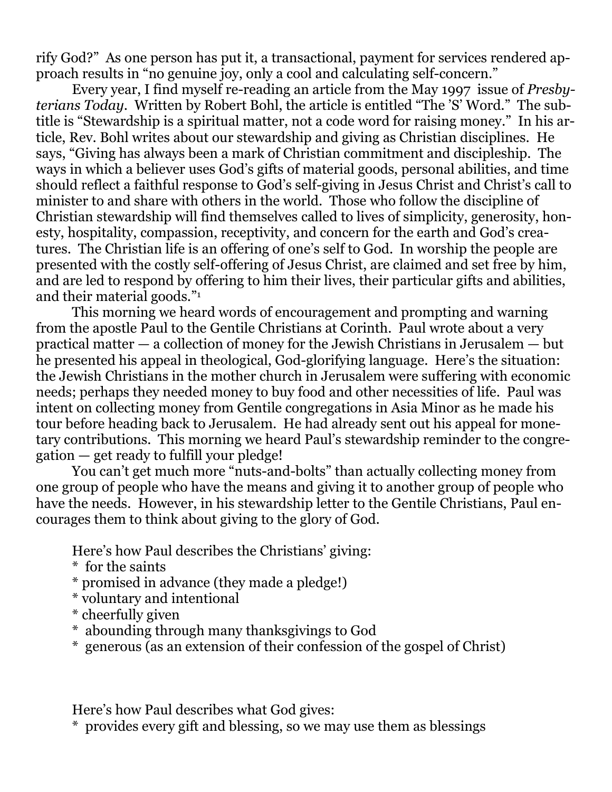rify God?" As one person has put it, a transactional, payment for services rendered approach results in "no genuine joy, only a cool and calculating self-concern."

Every year, I find myself re-reading an article from the May 1997 issue of *Presbyterians Today*. Written by Robert Bohl, the article is entitled "The 'S' Word." The subtitle is "Stewardship is a spiritual matter, not a code word for raising money." In his article, Rev. Bohl writes about our stewardship and giving as Christian disciplines. He says, "Giving has always been a mark of Christian commitment and discipleship. The ways in which a believer uses God's gifts of material goods, personal abilities, and time should reflect a faithful response to God's self-giving in Jesus Christ and Christ's call to minister to and share with others in the world. Those who follow the discipline of Christian stewardship will find themselves called to lives of simplicity, generosity, honesty, hospitality, compassion, receptivity, and concern for the earth and God's creatures. The Christian life is an offering of one's self to God. In worship the people are presented with the costly self-offering of Jesus Christ, are claimed and set free by him, and are led to respond by offering to him their lives, their particular gifts and abilities, and their material goods."<sup>1</sup>

This morning we heard words of encouragement and prompting and warning from the apostle Paul to the Gentile Christians at Corinth. Paul wrote about a very practical matter — a collection of money for the Jewish Christians in Jerusalem — but he presented his appeal in theological, God-glorifying language. Here's the situation: the Jewish Christians in the mother church in Jerusalem were suffering with economic needs; perhaps they needed money to buy food and other necessities of life. Paul was intent on collecting money from Gentile congregations in Asia Minor as he made his tour before heading back to Jerusalem. He had already sent out his appeal for monetary contributions. This morning we heard Paul's stewardship reminder to the congregation — get ready to fulfill your pledge!

You can't get much more "nuts-and-bolts" than actually collecting money from one group of people who have the means and giving it to another group of people who have the needs. However, in his stewardship letter to the Gentile Christians, Paul encourages them to think about giving to the glory of God.

Here's how Paul describes the Christians' giving:

- \* for the saints
- \* promised in advance (they made a pledge!)
- \* voluntary and intentional
- \* cheerfully given
- \* abounding through many thanksgivings to God
- \* generous (as an extension of their confession of the gospel of Christ)

Here's how Paul describes what God gives:

\* provides every gift and blessing, so we may use them as blessings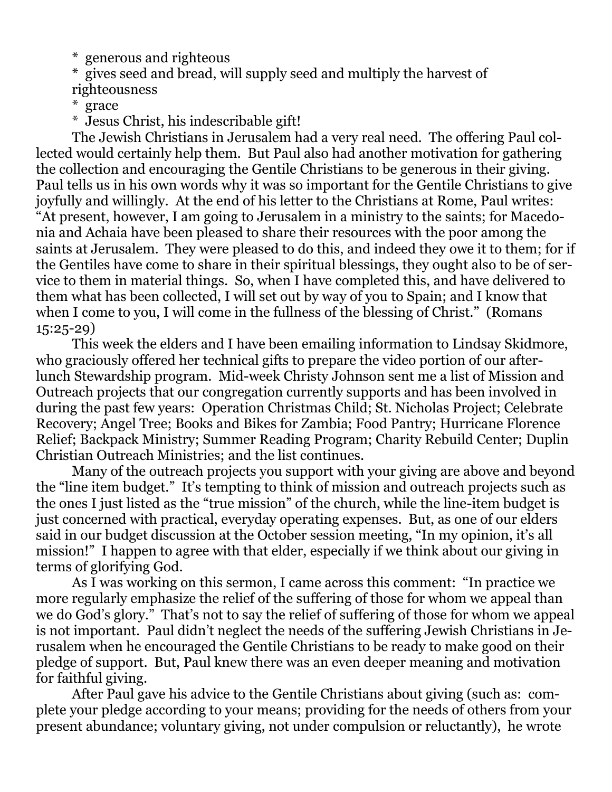\* generous and righteous

\* gives seed and bread, will supply seed and multiply the harvest of

righteousness

\* grace

\* Jesus Christ, his indescribable gift!

The Jewish Christians in Jerusalem had a very real need. The offering Paul collected would certainly help them. But Paul also had another motivation for gathering the collection and encouraging the Gentile Christians to be generous in their giving. Paul tells us in his own words why it was so important for the Gentile Christians to give joyfully and willingly. At the end of his letter to the Christians at Rome, Paul writes: "At present, however, I am going to Jerusalem in a ministry to the saints; for Macedonia and Achaia have been pleased to share their resources with the poor among the saints at Jerusalem. They were pleased to do this, and indeed they owe it to them; for if the Gentiles have come to share in their spiritual blessings, they ought also to be of service to them in material things. So, when I have completed this, and have delivered to them what has been collected, I will set out by way of you to Spain; and I know that when I come to you, I will come in the fullness of the blessing of Christ." (Romans 15:25-29)

This week the elders and I have been emailing information to Lindsay Skidmore, who graciously offered her technical gifts to prepare the video portion of our afterlunch Stewardship program. Mid-week Christy Johnson sent me a list of Mission and Outreach projects that our congregation currently supports and has been involved in during the past few years: Operation Christmas Child; St. Nicholas Project; Celebrate Recovery; Angel Tree; Books and Bikes for Zambia; Food Pantry; Hurricane Florence Relief; Backpack Ministry; Summer Reading Program; Charity Rebuild Center; Duplin Christian Outreach Ministries; and the list continues.

Many of the outreach projects you support with your giving are above and beyond the "line item budget." It's tempting to think of mission and outreach projects such as the ones I just listed as the "true mission" of the church, while the line-item budget is just concerned with practical, everyday operating expenses. But, as one of our elders said in our budget discussion at the October session meeting, "In my opinion, it's all mission!" I happen to agree with that elder, especially if we think about our giving in terms of glorifying God.

As I was working on this sermon, I came across this comment: "In practice we more regularly emphasize the relief of the suffering of those for whom we appeal than we do God's glory." That's not to say the relief of suffering of those for whom we appeal is not important. Paul didn't neglect the needs of the suffering Jewish Christians in Jerusalem when he encouraged the Gentile Christians to be ready to make good on their pledge of support. But, Paul knew there was an even deeper meaning and motivation for faithful giving.

After Paul gave his advice to the Gentile Christians about giving (such as: complete your pledge according to your means; providing for the needs of others from your present abundance; voluntary giving, not under compulsion or reluctantly), he wrote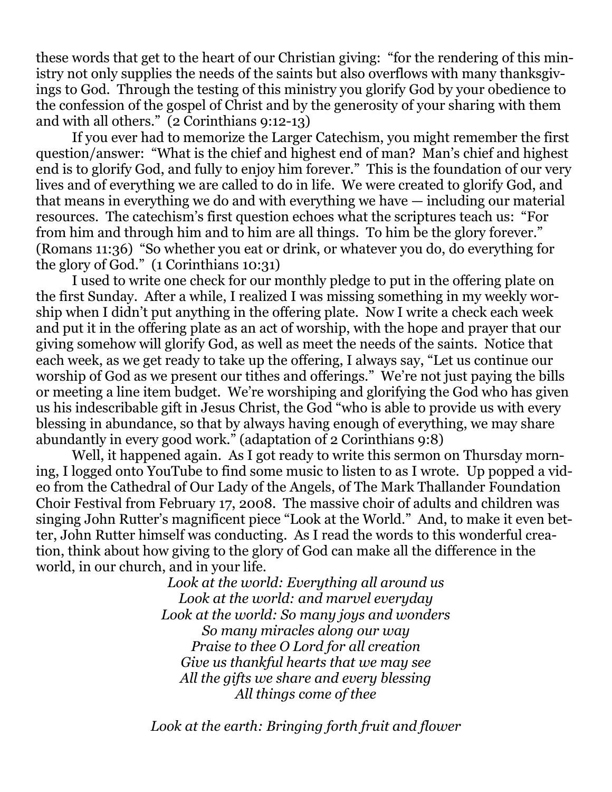these words that get to the heart of our Christian giving: "for the rendering of this ministry not only supplies the needs of the saints but also overflows with many thanksgivings to God. Through the testing of this ministry you glorify God by your obedience to the confession of the gospel of Christ and by the generosity of your sharing with them and with all others." (2 Corinthians 9:12-13)

If you ever had to memorize the Larger Catechism, you might remember the first question/answer: "What is the chief and highest end of man? Man's chief and highest end is to glorify God, and fully to enjoy him forever." This is the foundation of our very lives and of everything we are called to do in life. We were created to glorify God, and that means in everything we do and with everything we have — including our material resources. The catechism's first question echoes what the scriptures teach us: "For from him and through him and to him are all things. To him be the glory forever." (Romans 11:36) "So whether you eat or drink, or whatever you do, do everything for the glory of God." (1 Corinthians 10:31)

I used to write one check for our monthly pledge to put in the offering plate on the first Sunday. After a while, I realized I was missing something in my weekly worship when I didn't put anything in the offering plate. Now I write a check each week and put it in the offering plate as an act of worship, with the hope and prayer that our giving somehow will glorify God, as well as meet the needs of the saints. Notice that each week, as we get ready to take up the offering, I always say, "Let us continue our worship of God as we present our tithes and offerings." We're not just paying the bills or meeting a line item budget. We're worshiping and glorifying the God who has given us his indescribable gift in Jesus Christ, the God "who is able to provide us with every blessing in abundance, so that by always having enough of everything, we may share abundantly in every good work." (adaptation of 2 Corinthians 9:8)

Well, it happened again. As I got ready to write this sermon on Thursday morning, I logged onto YouTube to find some music to listen to as I wrote. Up popped a video from the Cathedral of Our Lady of the Angels, of The Mark Thallander Foundation Choir Festival from February 17, 2008. The massive choir of adults and children was singing John Rutter's magnificent piece "Look at the World." And, to make it even better, John Rutter himself was conducting. As I read the words to this wonderful creation, think about how giving to the glory of God can make all the difference in the world, in our church, and in your life.

> *Look at the world: Everything all around us Look at the world: and marvel everyday Look at the world: So many joys and wonders So many miracles along our way Praise to thee O Lord for all creation Give us thankful hearts that we may see All the gifts we share and every blessing All things come of thee*

*Look at the earth: Bringing forth fruit and flower*